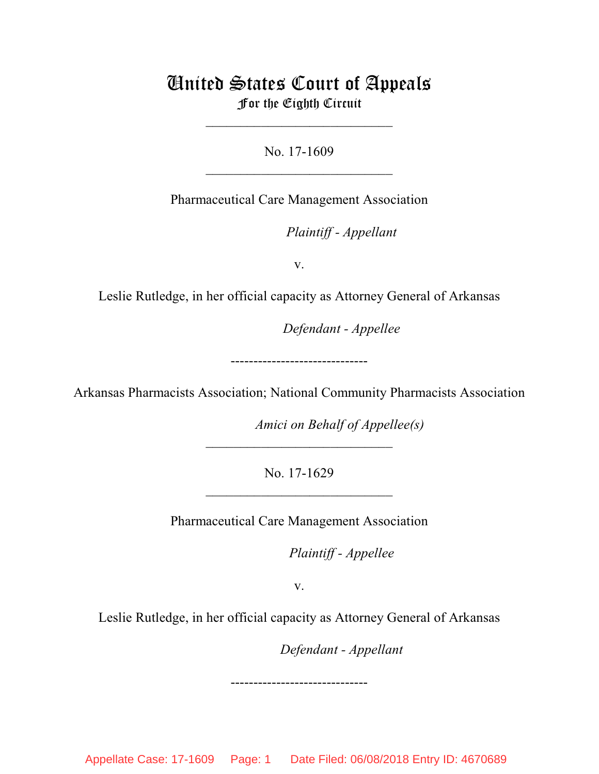# United States Court of Appeals For the Eighth Circuit

\_\_\_\_\_\_\_\_\_\_\_\_\_\_\_\_\_\_\_\_\_\_\_\_\_\_\_

No. 17-1609  $\mathcal{L}_\text{max}$  , which is a set of the set of the set of the set of the set of the set of the set of the set of the set of the set of the set of the set of the set of the set of the set of the set of the set of the set of

Pharmaceutical Care Management Association

lllllllllllllllllllll *Plaintiff - Appellant*

v.

Leslie Rutledge, in her official capacity as Attorney General of Arkansas

Defendant - Appellee

------------------------------

Arkansas Pharmacists Association; National Community Pharmacists Association

*Amici on Behalf of Appellee(s)* 

No. 17-1629  $\mathcal{L}_\text{max}$  , which is a set of the set of the set of the set of the set of the set of the set of the set of the set of the set of the set of the set of the set of the set of the set of the set of the set of the set of

 $\mathcal{L}_\text{max}$  , which is a set of the set of the set of the set of the set of the set of the set of the set of the set of the set of the set of the set of the set of the set of the set of the set of the set of the set of

Pharmaceutical Care Management Association

*Plaintiff - Appellee* 

v.

Leslie Rutledge, in her official capacity as Attorney General of Arkansas

------------------------------

lllllllllllllllllllll *Defendant - Appellant*

Appellate Case: 17-1609 Page: 1 Date Filed: 06/08/2018 Entry ID: 4670689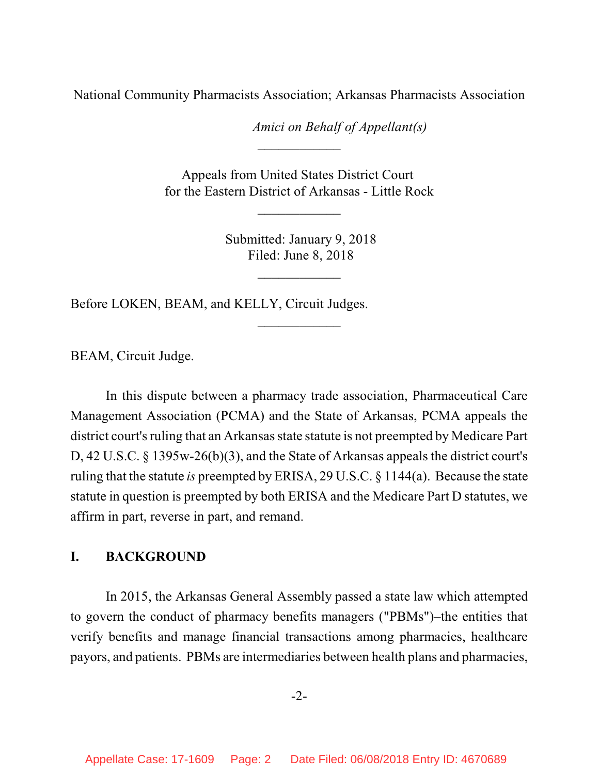National Community Pharmacists Association; Arkansas Pharmacists Association

*Amici on Behalf of Appellant(s)* 

Appeals from United States District Court for the Eastern District of Arkansas - Little Rock

 $\frac{1}{2}$ 

\_\_\_\_\_\_\_\_\_\_\_\_

 Submitted: January 9, 2018 Filed: June 8, 2018

 $\frac{1}{2}$ 

 $\overline{\phantom{a}}$  , where  $\overline{\phantom{a}}$ 

Before LOKEN, BEAM, and KELLY, Circuit Judges.

BEAM, Circuit Judge.

In this dispute between a pharmacy trade association, Pharmaceutical Care Management Association (PCMA) and the State of Arkansas, PCMA appeals the district court's ruling that an Arkansas state statute is not preempted by Medicare Part D, 42 U.S.C. § 1395w-26(b)(3), and the State of Arkansas appeals the district court's ruling that the statute *is* preempted by ERISA, 29 U.S.C. § 1144(a). Because the state statute in question is preempted by both ERISA and the Medicare Part D statutes, we affirm in part, reverse in part, and remand.

## **I. BACKGROUND**

In 2015, the Arkansas General Assembly passed a state law which attempted to govern the conduct of pharmacy benefits managers ("PBMs")–the entities that verify benefits and manage financial transactions among pharmacies, healthcare payors, and patients. PBMs are intermediaries between health plans and pharmacies,

-2-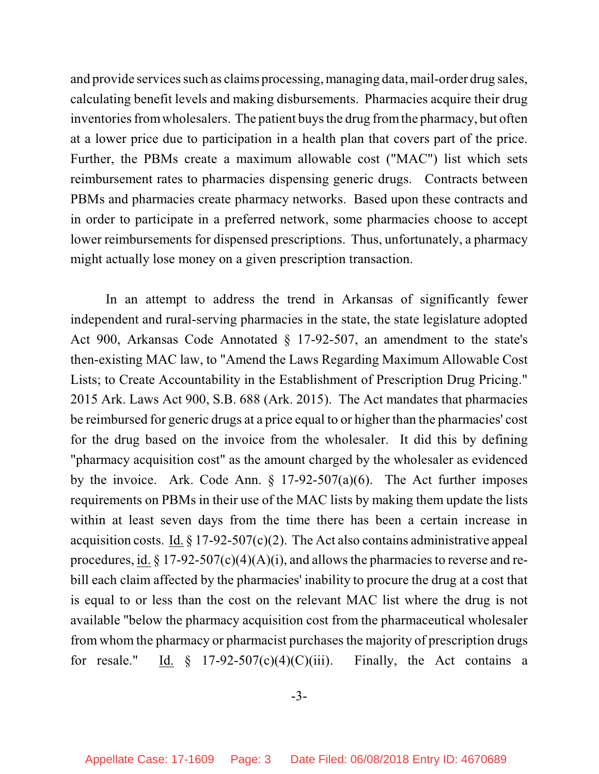and provide services such as claims processing, managing data, mail-order drug sales, calculating benefit levels and making disbursements. Pharmacies acquire their drug inventories fromwholesalers. The patient buys the drug fromthe pharmacy, but often at a lower price due to participation in a health plan that covers part of the price. Further, the PBMs create a maximum allowable cost ("MAC") list which sets reimbursement rates to pharmacies dispensing generic drugs. Contracts between PBMs and pharmacies create pharmacy networks. Based upon these contracts and in order to participate in a preferred network, some pharmacies choose to accept lower reimbursements for dispensed prescriptions. Thus, unfortunately, a pharmacy might actually lose money on a given prescription transaction.

In an attempt to address the trend in Arkansas of significantly fewer independent and rural-serving pharmacies in the state, the state legislature adopted Act 900, Arkansas Code Annotated § 17-92-507, an amendment to the state's then-existing MAC law, to "Amend the Laws Regarding Maximum Allowable Cost Lists; to Create Accountability in the Establishment of Prescription Drug Pricing." 2015 Ark. Laws Act 900, S.B. 688 (Ark. 2015). The Act mandates that pharmacies be reimbursed for generic drugs at a price equal to or higher than the pharmacies' cost for the drug based on the invoice from the wholesaler. It did this by defining "pharmacy acquisition cost" as the amount charged by the wholesaler as evidenced by the invoice. Ark. Code Ann.  $\S$  17-92-507(a)(6). The Act further imposes requirements on PBMs in their use of the MAC lists by making them update the lists within at least seven days from the time there has been a certain increase in acquisition costs. Id.  $\S 17-92-507(c)(2)$ . The Act also contains administrative appeal procedures, id.  $\S 17-92-507(c)(4)(A)(i)$ , and allows the pharmacies to reverse and rebill each claim affected by the pharmacies' inability to procure the drug at a cost that is equal to or less than the cost on the relevant MAC list where the drug is not available "below the pharmacy acquisition cost from the pharmaceutical wholesaler from whom the pharmacy or pharmacist purchases the majority of prescription drugs for resale." Id.  $\frac{1}{2}$  17-92-507(c)(4)(C)(iii). Finally, the Act contains a

-3-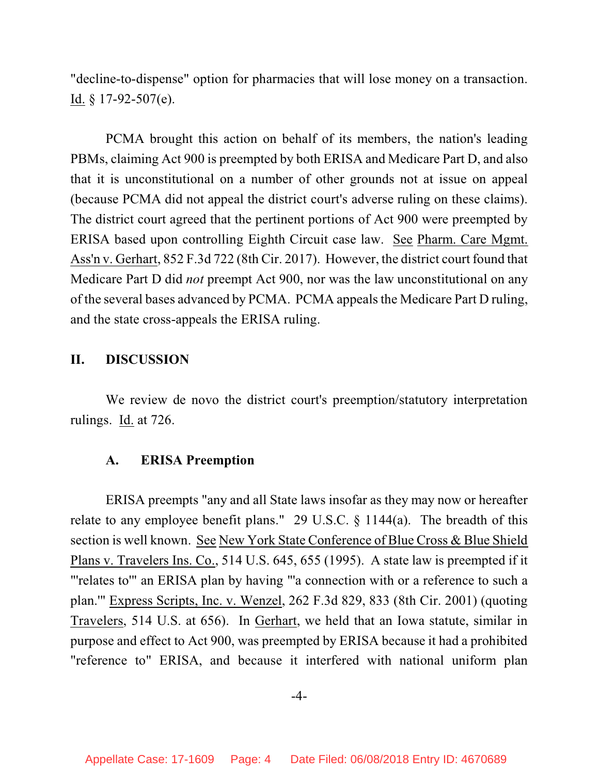"decline-to-dispense" option for pharmacies that will lose money on a transaction. Id. § 17-92-507(e).

PCMA brought this action on behalf of its members, the nation's leading PBMs, claiming Act 900 is preempted by both ERISA and Medicare Part D, and also that it is unconstitutional on a number of other grounds not at issue on appeal (because PCMA did not appeal the district court's adverse ruling on these claims). The district court agreed that the pertinent portions of Act 900 were preempted by ERISA based upon controlling Eighth Circuit case law. See Pharm. Care Mgmt. Ass'n v. Gerhart, 852 F.3d 722 (8th Cir. 2017). However, the district court found that Medicare Part D did *not* preempt Act 900, nor was the law unconstitutional on any of the several bases advanced by PCMA. PCMA appeals the Medicare Part D ruling, and the state cross-appeals the ERISA ruling.

#### **II. DISCUSSION**

We review de novo the district court's preemption/statutory interpretation rulings. Id. at 726.

#### **A. ERISA Preemption**

ERISA preempts "any and all State laws insofar as they may now or hereafter relate to any employee benefit plans." 29 U.S.C.  $\S$  1144(a). The breadth of this section is well known. See New York State Conference of Blue Cross & Blue Shield Plans v. Travelers Ins. Co., 514 U.S. 645, 655 (1995). A state law is preempted if it "'relates to'" an ERISA plan by having "'a connection with or a reference to such a plan.'" Express Scripts, Inc. v. Wenzel, 262 F.3d 829, 833 (8th Cir. 2001) (quoting Travelers, 514 U.S. at 656). In Gerhart, we held that an Iowa statute, similar in purpose and effect to Act 900, was preempted by ERISA because it had a prohibited "reference to" ERISA, and because it interfered with national uniform plan

-4-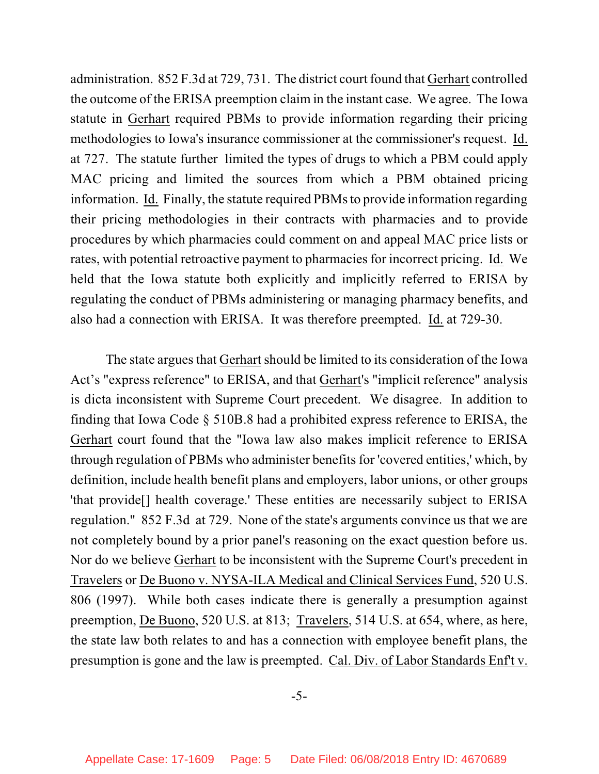administration. 852 F.3d at 729, 731. The district court found that Gerhart controlled the outcome of the ERISA preemption claim in the instant case. We agree. The Iowa statute in Gerhart required PBMs to provide information regarding their pricing methodologies to Iowa's insurance commissioner at the commissioner's request. Id. at 727. The statute further limited the types of drugs to which a PBM could apply MAC pricing and limited the sources from which a PBM obtained pricing information. Id. Finally, the statute required PBMs to provide information regarding their pricing methodologies in their contracts with pharmacies and to provide procedures by which pharmacies could comment on and appeal MAC price lists or rates, with potential retroactive payment to pharmacies for incorrect pricing. Id. We held that the Iowa statute both explicitly and implicitly referred to ERISA by regulating the conduct of PBMs administering or managing pharmacy benefits, and also had a connection with ERISA. It was therefore preempted. Id. at 729-30.

The state argues that Gerhart should be limited to its consideration of the Iowa Act's "express reference" to ERISA, and that Gerhart's "implicit reference" analysis is dicta inconsistent with Supreme Court precedent. We disagree. In addition to finding that Iowa Code § 510B.8 had a prohibited express reference to ERISA, the Gerhart court found that the "Iowa law also makes implicit reference to ERISA through regulation of PBMs who administer benefits for 'covered entities,' which, by definition, include health benefit plans and employers, labor unions, or other groups 'that provide[] health coverage.' These entities are necessarily subject to ERISA regulation." 852 F.3d at 729. None of the state's arguments convince us that we are not completely bound by a prior panel's reasoning on the exact question before us. Nor do we believe Gerhart to be inconsistent with the Supreme Court's precedent in Travelers or De Buono v. NYSA-ILA Medical and Clinical Services Fund, 520 U.S. 806 (1997). While both cases indicate there is generally a presumption against preemption, De Buono, 520 U.S. at 813; Travelers, 514 U.S. at 654, where, as here, the state law both relates to and has a connection with employee benefit plans, the presumption is gone and the law is preempted. Cal. Div. of Labor Standards Enf't v.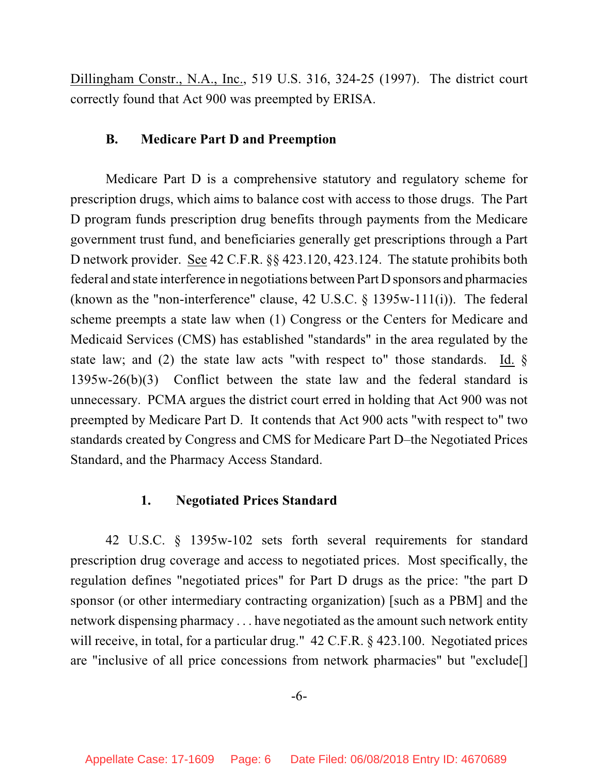Dillingham Constr., N.A., Inc., 519 U.S. 316, 324-25 (1997). The district court correctly found that Act 900 was preempted by ERISA.

# **B. Medicare Part D and Preemption**

Medicare Part D is a comprehensive statutory and regulatory scheme for prescription drugs, which aims to balance cost with access to those drugs. The Part D program funds prescription drug benefits through payments from the Medicare government trust fund, and beneficiaries generally get prescriptions through a Part D network provider. See 42 C.F.R. §§ 423.120, 423.124. The statute prohibits both federal and state interference in negotiations between Part D sponsors and pharmacies (known as the "non-interference" clause, 42 U.S.C. § 1395w-111(i)). The federal scheme preempts a state law when (1) Congress or the Centers for Medicare and Medicaid Services (CMS) has established "standards" in the area regulated by the state law; and (2) the state law acts "with respect to" those standards. Id.  $\S$ 1395w-26(b)(3) Conflict between the state law and the federal standard is unnecessary. PCMA argues the district court erred in holding that Act 900 was not preempted by Medicare Part D. It contends that Act 900 acts "with respect to" two standards created by Congress and CMS for Medicare Part D–the Negotiated Prices Standard, and the Pharmacy Access Standard.

#### **1. Negotiated Prices Standard**

42 U.S.C. § 1395w-102 sets forth several requirements for standard prescription drug coverage and access to negotiated prices. Most specifically, the regulation defines "negotiated prices" for Part D drugs as the price: "the part D sponsor (or other intermediary contracting organization) [such as a PBM] and the network dispensing pharmacy . . . have negotiated as the amount such network entity will receive, in total, for a particular drug." 42 C.F.R. § 423.100. Negotiated prices are "inclusive of all price concessions from network pharmacies" but "exclude[]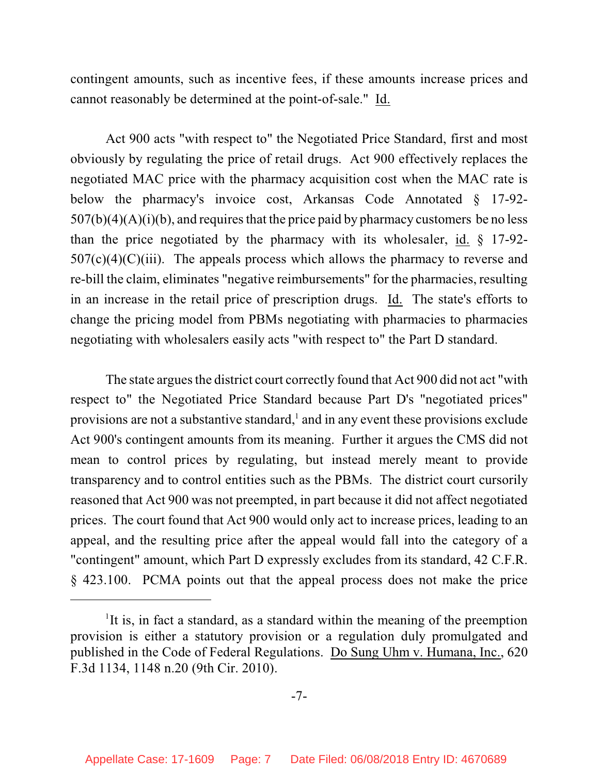contingent amounts, such as incentive fees, if these amounts increase prices and cannot reasonably be determined at the point-of-sale." Id.

Act 900 acts "with respect to" the Negotiated Price Standard, first and most obviously by regulating the price of retail drugs. Act 900 effectively replaces the negotiated MAC price with the pharmacy acquisition cost when the MAC rate is below the pharmacy's invoice cost, Arkansas Code Annotated § 17-92-  $507(b)(4)(A)(i)(b)$ , and requires that the price paid by pharmacy customers be no less than the price negotiated by the pharmacy with its wholesaler, id. § 17-92-  $507(c)(4)(C)(iii)$ . The appeals process which allows the pharmacy to reverse and re-bill the claim, eliminates "negative reimbursements" for the pharmacies, resulting in an increase in the retail price of prescription drugs. Id. The state's efforts to change the pricing model from PBMs negotiating with pharmacies to pharmacies negotiating with wholesalers easily acts "with respect to" the Part D standard.

The state argues the district court correctly found that Act 900 did not act "with respect to" the Negotiated Price Standard because Part D's "negotiated prices" provisions are not a substantive standard, $\frac{1}{2}$  and in any event these provisions exclude Act 900's contingent amounts from its meaning. Further it argues the CMS did not mean to control prices by regulating, but instead merely meant to provide transparency and to control entities such as the PBMs. The district court cursorily reasoned that Act 900 was not preempted, in part because it did not affect negotiated prices. The court found that Act 900 would only act to increase prices, leading to an appeal, and the resulting price after the appeal would fall into the category of a "contingent" amount, which Part D expressly excludes from its standard, 42 C.F.R. § 423.100. PCMA points out that the appeal process does not make the price

<sup>&</sup>lt;sup>1</sup>It is, in fact a standard, as a standard within the meaning of the preemption provision is either a statutory provision or a regulation duly promulgated and published in the Code of Federal Regulations. Do Sung Uhm v. Humana, Inc., 620 F.3d 1134, 1148 n.20 (9th Cir. 2010).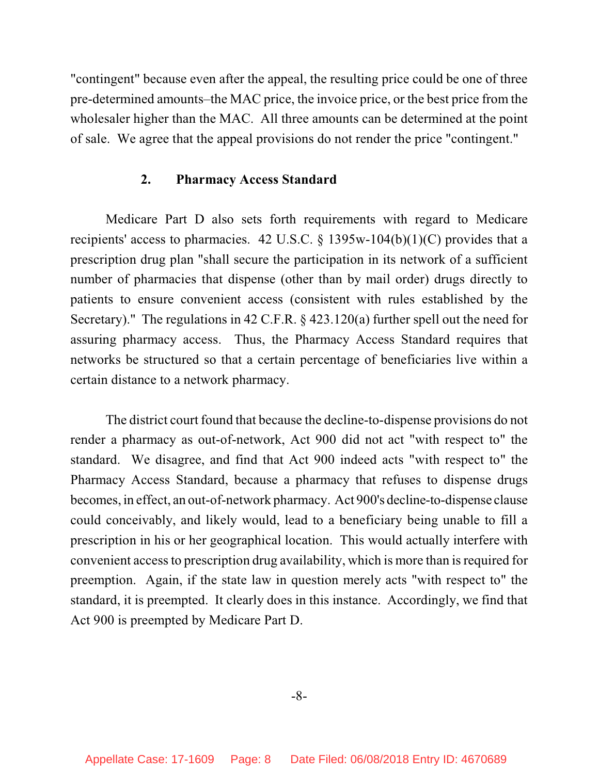"contingent" because even after the appeal, the resulting price could be one of three pre-determined amounts–the MAC price, the invoice price, or the best price from the wholesaler higher than the MAC. All three amounts can be determined at the point of sale. We agree that the appeal provisions do not render the price "contingent."

## **2. Pharmacy Access Standard**

Medicare Part D also sets forth requirements with regard to Medicare recipients' access to pharmacies. 42 U.S.C. § 1395w-104(b)(1)(C) provides that a prescription drug plan "shall secure the participation in its network of a sufficient number of pharmacies that dispense (other than by mail order) drugs directly to patients to ensure convenient access (consistent with rules established by the Secretary)." The regulations in 42 C.F.R. § 423.120(a) further spell out the need for assuring pharmacy access. Thus, the Pharmacy Access Standard requires that networks be structured so that a certain percentage of beneficiaries live within a certain distance to a network pharmacy.

The district court found that because the decline-to-dispense provisions do not render a pharmacy as out-of-network, Act 900 did not act "with respect to" the standard. We disagree, and find that Act 900 indeed acts "with respect to" the Pharmacy Access Standard, because a pharmacy that refuses to dispense drugs becomes, in effect, an out-of-network pharmacy. Act 900's decline-to-dispense clause could conceivably, and likely would, lead to a beneficiary being unable to fill a prescription in his or her geographical location. This would actually interfere with convenient access to prescription drug availability, which is more than is required for preemption. Again, if the state law in question merely acts "with respect to" the standard, it is preempted. It clearly does in this instance. Accordingly, we find that Act 900 is preempted by Medicare Part D.